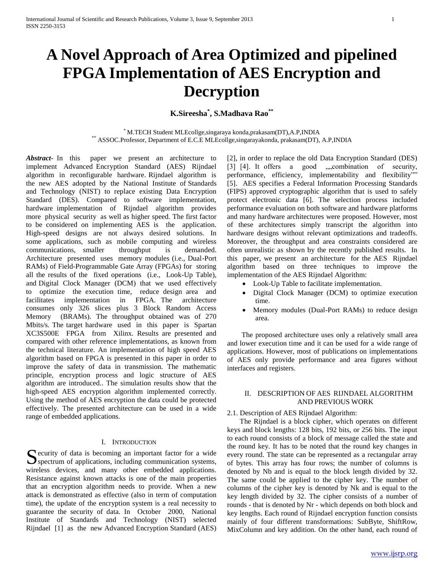# **A Novel Approach of Area Optimized and pipelined FPGA Implementation of AES Encryption and Decryption**

**K.Sireesha\* , S.Madhava Rao\*\***

\* M.TECH Student MLEcollge,singaraya konda,prakasam(DT),A.P,INDIA \*\* ASSOC.Professor, Department of E.C.E MLEcollge,singarayakonda, prakasam(DT), A.P,INDIA

*Abstract***-** In this paper we present an architecture to implement Advanced Encryption Standard (AES) Rijndael algorithm in reconfigurable hardware. Rijndael algorithm is the new AES adopted by the National Institute of Standards and Technology (NIST) to replace existing Data Encryption Standard (DES). Compared to software implementation, hardware implementation of Rijndael algorithm provides more physical security as well as higher speed. The first factor to be considered on implementing AES is the application. High-speed designs are not always desired solutions. In some applications, such as mobile computing and wireless communications, smaller throughput is demanded. Architecture presented uses memory modules (i.e., Dual-Port RAMs) of Field-Programmable Gate Array (FPGAs) for storing all the results of the fixed operations (i.e., Look-Up Table), and Digital Clock Manager (DCM) that we used effectively to optimize the execution time, reduce design area and facilitates implementation in FPGA. The architecture consumes only 326 slices plus 3 Block Random Access Memory (BRAMs). The throughput obtained was of 270 Mbits/s. The target hardware used in this paper is Spartan XC3S500E FPGA from Xilinx. Results are presented and compared with other reference implementations, as known from the technical literature. An implementation of high speed AES algorithm based on FPGA is presented in this paper in order to improve the safety of data in transmission. The mathematic principle, encryption process and logic structure of AES algorithm are introduced.. The simulation results show that the high-speed AES encryption algorithm implemented correctly. Using the method of AES encryption the data could be protected effectively. The presented architecture can be used in a wide range of embedded applications.

## I. INTRODUCTION

 $\Gamma$  ecurity of data is becoming an important factor for a wide Security of data is becoming an important factor for a wide spectrum of applications, including communication systems, wireless devices, and many other embedded applications. Resistance against known attacks is one of the main properties that an encryption algorithm needs to provide. When a new attack is demonstrated as effective (also in term of computation time), the update of the encryption system is a real necessity to guarantee the security of data. In October 2000, National Institute of Standards and Technology (NIST) selected Rijndael [1] as the new Advanced Encryption Standard (AES)

[2], in order to replace the old Data Encryption Standard (DES) [3] [4]. It offers a good ,,,,combination of security, performance, efficiency, implementability and flexibility"" [5]. AES specifies a Federal Information Processing Standards (FIPS) approved cryptographic algorithm that is used to safely protect electronic data [6]. The selection process included performance evaluation on both software and hardware platforms and many hardware architectures were proposed. However, most of these architectures simply transcript the algorithm into hardware designs without relevant optimizations and tradeoffs. Moreover, the throughput and area constraints considered are often unrealistic as shown by the recently published results. In this paper, we present an architecture for the AES Rijndael algorithm based on three techniques to improve the implementation of the AES Rijndael Algorithm:

- Look-Up Table to facilitate implementation.
- Digital Clock Manager (DCM) to optimize execution time.
- Memory modules (Dual-Port RAMs) to reduce design area.

 The proposed architecture uses only a relatively small area and lower execution time and it can be used for a wide range of applications. However, most of publications on implementations of AES only provide performance and area figures without interfaces and registers.

# II. DESCRIPTION OF AES RIJNDAEL ALGORITHM AND PREVIOUS WORK

#### 2.1. Description of AES Rijndael Algorithm:

 The Rijndael is a block cipher, which operates on different keys and block lengths: 128 bits, 192 bits, or 256 bits. The input to each round consists of a block of message called the state and the round key. It has to be noted that the round key changes in every round. The state can be represented as a rectangular array of bytes. This array has four rows; the number of columns is denoted by Nb and is equal to the block length divided by 32. The same could be applied to the cipher key. The number of columns of the cipher key is denoted by Nk and is equal to the key length divided by 32. The cipher consists of a number of rounds - that is denoted by Nr - which depends on both block and key lengths. Each round of Rijndael encryption function consists mainly of four different transformations: SubByte, ShiftRow, MixColumn and key addition. On the other hand, each round of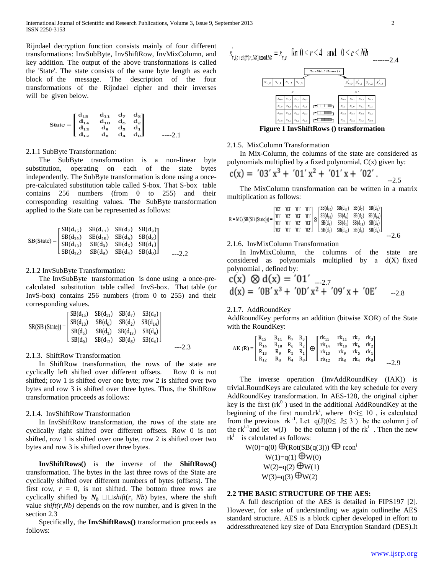Rijndael decryption function consists mainly of four different transformations: InvSubByte, InvShiftRow, InvMixColumn, and key addition. The output of the above transformations is called the 'State'. The state consists of the same byte length as each block of the message. The description of the four transformations of the Rijndael cipher and their inverses will be given below.

$$
\text{State} = \begin{bmatrix} d_{15} & d_{11} & d_{7} & d_{3} \\ d_{14} & d_{10} & d_{6} & d_{2} \\ d_{13} & d_{9} & d_{5} & d_{1} \\ d_{12} & d_{8} & d_{4} & d_{0} \end{bmatrix}
$$
---2.1

## 2.1.1 SubByte Transformation:

 The SubByte transformation is a non-linear byte substitution, operating on each of the state bytes independently. The SubByte transformation is done using a oncepre-calculated substitution table called S-box. That S-box table contains 256 numbers (from 0 to 255) and their corresponding resulting values. The SubByte transformation applied to the State can be represented as follows:

$$
SB(State) = \begin{bmatrix} SB(d_{15}) & SB(d_{11}) & SB(d_7) & SB(d_3) \\ SB(d_{14}) & SB(d_{10}) & SB(d_6) & SB(d_2) \\ SB(d_{13}) & SB(d_9) & SB(d_5) & SB(d_1) \\ SB(d_{12}) & SB(d_8) & SB(d_4) & SB(d_0) \end{bmatrix}
$$

#### 2.1.2 InvSubByte Transformation:

 The InvSubByte transformation is done using a once-precalculated substitution table called InvS-box. That table (or InvS-box) contains 256 numbers (from 0 to 255) and their corresponding values.

$$
SR(SB (State)) = \begin{bmatrix} SB(d_{15}) & SB(d_{11}) & SB(d_{7}) & SB(d_{3}) \\ SB(d_{10}) & SB(d_{6}) & SB(d_{2}) & SB(d_{14}) \\ SB(d_{5}) & SB(d_{1}) & SB(d_{13}) & SB(d_{9}) \\ SB(d_{0}) & SB(d_{12}) & SB(d_{8}) & SB(d_{4}) \end{bmatrix}
$$

#### 2.1.3. ShiftRow Transformation

 In ShiftRow transformation, the rows of the state are cyclically left shifted over different offsets. Row 0 is not shifted; row 1 is shifted over one byte; row 2 is shifted over two bytes and row 3 is shifted over three bytes. Thus, the ShiftRow transformation proceeds as follows:

# 2.1.4. InvShiftRow Transformation

 In InvShiftRow transformation, the rows of the state are cyclically right shifted over different offsets. Row 0 is not shifted, row 1 is shifted over one byte, row 2 is shifted over two bytes and row 3 is shifted over three bytes.

 **InvShiftRows()** is the inverse of the **ShiftRows()**  transformation. The bytes in the last three rows of the State are cyclically shifted over different numbers of bytes (offsets). The first row,  $r = 0$ , is not shifted. The bottom three rows are cyclically shifted by  $N_b \square \square shift(r, Nb)$  bytes, where the shift value *shift(r,Nb)* depends on the row number, and is given in the section 2.3

 Specifically, the **InvShiftRows()** transformation proceeds as follows:



**Figure 1 InvShiftRows () transformation**

### 2.1.5. MixColumn Transformation

 In Mix-Column, the columns of the state are considered as polynomials multiplied by a fixed polynomial, C(x) given by:

$$
c(x) = \frac{703' x^3 + \frac{701' x^2 + \frac{701' x + \frac{702'}{2}}}{x^2}}{5}
$$

 The MixColumn transformation can be written in a matrix multiplication as follows:

$$
R = MC(SR(SB (State))) = \begin{bmatrix} 02' & 03' & 01' & 01' \\ 01' & 02' & 03' & 01' \\ 01' & 01' & 02' & 03' \\ 03' & 01' & 01' & 02' \end{bmatrix} \begin{bmatrix} SB(d_{15}) & SB(d_{11}) & SB(d_{7}) & SB(d_{3}) \\ SB(d_{6}) & SB(d_{6}) & SB(d_{2}) & SB(d_{14}) \\ SB(d_{3}) & SB(d_{13}) & SB(d_{9}) \\ SB(d_{0}) & SB(d_{12}) & SB(d_{0}) & 0 \\ \end{bmatrix} \begin{bmatrix} 02' & 03' & 01' & 01' \\ 01' & 02' & 03' & 01' \\ 03' & 01' & 02' & 02' \\ \end{bmatrix} \begin{bmatrix} SB(d_{15}) & SB(d_{11}) & SB(d_{7}) & SB(d_{3}) \\ SB(d_{10}) & SB(d_{12}) & SB(d_{13}) & SB(d_{14}) \\ 01' & 01' & 02' & 02' \\ \end{bmatrix}
$$

# 2.1.6. InvMixColumn Transformation

 In InvMixColumn, the columns of the state are considered as polynomials multiplied by a d(X) fixed polynomial , defined by:

c(x) 
$$
\otimes
$$
 d(x) = '01'  
d(x) = '0B' x<sup>3</sup> + '0D' x<sup>2</sup> + '09' x + '0E' --2.8

# 2.1.7. AddRoundKey

AddRoundKey performs an addition (bitwise XOR) of the State with the RoundKey:

$$
AK\left(R\right)=\begin{bmatrix}R_{15}&R_{11}&R_{7}&R_{3}\\R_{14}&R_{10}&R_{6}&R_{2}\\R_{13}&R_{9}&R_{5}&R_{1}\\R_{12}&R_{8}&R_{4}&R_{0}\end{bmatrix}\oplus\begin{bmatrix}rk_{15}&rk_{11}&rk_{7}&rk_{3}\\rk_{14}&rk_{10}&rk_{6}&rk_{2}\\rk_{13}&rk_{9}&rk_{5}&rk_{1}\\rk_{12}&rk_{8}&rk_{4}&rk_{0}\end{bmatrix}\qquad \qquad \begin{array}{l} \vspace{2mm}\\ \vspace{2mm}\\ \vspace{2mm}\\ \vspace{2mm}\\ \vspace{2mm}\\ \vspace{2mm}\\ \vspace{2mm}\\ \vspace{2mm}\\ \vspace{2mm}\\ \vspace{2mm}\\ \vspace{2mm}\\ \vspace{2mm}\\ \vspace{2mm}\\ \vspace{2mm}\\ \vspace{2mm}\\ \vspace{2mm}\\ \vspace{2mm}\\ \vspace{2mm}\\ \vspace{2mm}\\ \vspace{2mm}\\ \vspace{2mm}\\ \vspace{2mm}\\ \vspace{2mm}\\ \vspace{2mm}\\ \vspace{2mm}\\ \vspace{2mm}\\ \vspace{2mm}\\ \vspace{2mm}\\ \vspace{2mm}\\ \vspace{2mm}\\ \vspace{2mm}\\ \vspace{2mm}\\ \vspace{2mm}\\ \vspace{2mm}\\ \vspace{2mm}\\ \vspace{2mm}\\ \vspace{2mm}\\ \vspace{2mm}\\ \vspace{2mm}\\ \vspace{2mm}\\ \vspace{2mm}\\ \vspace{2mm}\\ \vspace{2mm}\\ \vspace{2mm}\\ \vspace{2mm}\\ \vspace{2mm}\\ \vspace{2mm}\\ \vspace{2mm}\\ \vspace{2mm}\\ \vspace{2mm}\\ \vspace{2mm}\\ \vspace{2mm}\\ \vspace{2mm}\\ \vspace{2mm}\\ \vspace{2mm}\\ \vspace{2mm}\\ \vspace{2mm}\\ \vspace{2mm}\\ \vspace{2mm}\\ \vspace{2mm}\\ \vspace{2mm}\\ \vspace{2mm}\\ \vspace{2mm}\\ \vspace{2mm}\\ \vspace{2mm}\\ \vspace{2mm}\\ \vspace{2mm}\\ \vspace{2mm}\\ \vspace{2mm}\\ \vspace{2mm}\\ \vspace{2mm}\\ \vspace{2mm}\\ \vspace{2mm}\\ \vspace{2mm}\\ \vspace{2mm}\\ \vspace{2mm}\\ \vspace{2mm}\\ \vspace{2mm}\\ \vspace{2mm}\\ \vspace{2mm}\\ \vspace{2mm}\\ \vspace{2mm}\\ \v
$$

 The inverse operation (InvAddRoundKey (IAK)) is trivial.RoundKeys are calculated with the key schedule for every AddRoundKey transformation. In AES-128, the original cipher key is the first  $(rk^0)$  used in the additional AddRoundKey at the beginning of the first round.rk<sup>i</sup>, where  $0 \le i \le 10$ , is calculated from the previous  $rk^{i-1}$ . Let  $q(J)(0 \leq J \leq 3)$  be the column j of the rk<sup>i-1</sup> and let  $w(J)$  be the column j of the rk<sup>i</sup>. Then the new  $rk<sup>i</sup>$  is calculated as follows:

 $W(0)=q(0) \bigoplus (Rot(SB(q(3))) \bigoplus rcon^i$  $W(1)=q(1) \bigoplus W(0)$  $W(2)=q(2) \bigoplus W(1)$  $W(3)=q(3) \bigoplus W(2)$ 

#### **2.2 THE BASIC STRUCTURE OF THE AES:**

 A full description of the AES is detailed in FIPS197 [2]. However, for sake of understanding we again outlinethe AES standard structure. AES is a block cipher developed in effort to addressthreatened key size of Data Encryption Standard (DES).It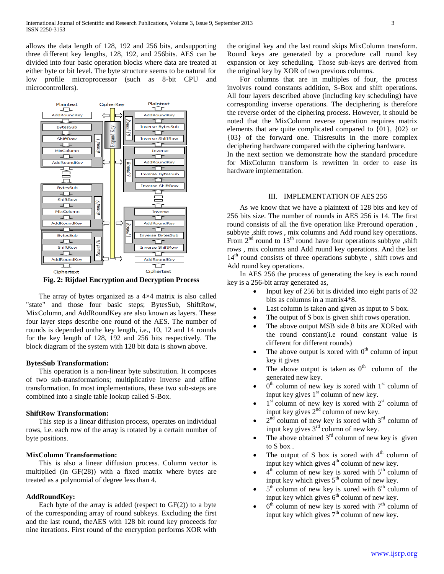allows the data length of 128, 192 and 256 bits, andsupporting three different key lengths, 128, 192, and 256bits. AES can be divided into four basic operation blocks where data are treated at either byte or bit level. The byte structure seems to be natural for low profile microprocessor (such as 8-bit CPU and microcontrollers).



**Fig. 2: Rijdael Encryption and Decryption Process**

The array of bytes organized as a  $4\times4$  matrix is also called "state" and those four basic steps; BytesSub, ShiftRow, MixColumn, and AddRoundKey are also known as layers. These four layer steps describe one round of the AES. The number of rounds is depended onthe key length, i.e., 10, 12 and 14 rounds for the key length of 128, 192 and 256 bits respectively. The block diagram of the system with 128 bit data is shown above.

#### **BytesSub Transformation:**

 This operation is a non-linear byte substitution. It composes of two sub-transformations; multiplicative inverse and affine transformation. In most implementations, these two sub-steps are combined into a single table lookup called S-Box.

### **ShiftRow Transformation:**

 This step is a linear diffusion process, operates on individual rows, i.e. each row of the array is rotated by a certain number of byte positions.

#### **MixColumn Transformation:**

 This is also a linear diffusion process. Column vector is multiplied (in GF(28)) with a fixed matrix where bytes are treated as a polynomial of degree less than 4.

#### **AddRoundKey:**

Each byte of the array is added (respect to  $GF(2)$ ) to a byte of the corresponding array of round subkeys. Excluding the first and the last round, theAES with 128 bit round key proceeds for nine iterations. First round of the encryption performs XOR with

the original key and the last round skips MixColumn transform. Round keys are generated by a procedure call round key expansion or key scheduling. Those sub-keys are derived from the original key by XOR of two previous columns.

 For columns that are in multiples of four, the process involves round constants addition, S-Box and shift operations. All four layers described above (including key scheduling) have corresponding inverse operations. The deciphering is therefore the reverse order of the ciphering process. However, it should be noted that the MixColumn reverse operation requires matrix elements that are quite complicated compared to {01}, {02} or {03} of the forward one. Thisresults in the more complex deciphering hardware compared with the ciphering hardware.

In the next section we demonstrate how the standard procedure for MixColumn transform is rewritten in order to ease its hardware implementation.

#### III. IMPLEMENTATION OF AES 256

 As we know that we have a plaintext of 128 bits and key of 256 bits size. The number of rounds in AES 256 is 14. The first round consists of all the five operation like Preround operation , subbyte ,shift rows , mix columns and Add round key operations. From  $2<sup>nd</sup>$  round to  $13<sup>th</sup>$  round have four operations subbyte , shift rows , mix columns and Add round key operations. And the last 14<sup>th</sup> round consists of three operations subbyte, shift rows and Add round key operations.

 In AES 256 the process of generating the key is each round key is a 256-bit array generated as,

- Input key of 256 bit is divided into eight parts of 32 bits as columns in a matrix4\*8.
- Last column is taken and given as input to S box.
- The output of S box is given shift rows operation.
- The above output MSB side 8 bits are XORed with the round constant(i.e round constant value is different for different rounds)
- The above output is xored with  $0<sup>th</sup>$  column of input key it gives
- The above output is taken as  $0<sup>th</sup>$  column of the generated new key.
- $\bullet$  0<sup>th</sup> column of new key is xored with 1<sup>st</sup> column of input key gives  $1<sup>st</sup>$  column of new key.
- $\bullet$  1<sup>st</sup> column of new key is xored with 2<sup>st</sup> column of input key gives  $2<sup>nd</sup>$  column of new key.
- $\bullet$  2<sup>nd</sup> column of new key is xored with 3<sup>rd</sup> column of input key gives 3rd column of new key.
- The above obtained  $3<sup>rd</sup>$  column of new key is given to S box .
- The output of S box is xored with  $4<sup>th</sup>$  column of input key which gives  $4<sup>th</sup>$  column of new key.
- $\bullet$  4<sup>th</sup> column of new key is xored with 5<sup>th</sup> column of input key which gives  $5<sup>th</sup>$  column of new key.
- $\bullet$  5<sup>th</sup> column of new key is xored with 6<sup>th</sup> column of input key which gives  $6<sup>th</sup>$  column of new key.
- $\bullet$  6<sup>th</sup> column of new key is xored with 7<sup>th</sup> column of input key which gives  $7<sup>th</sup>$  column of new key.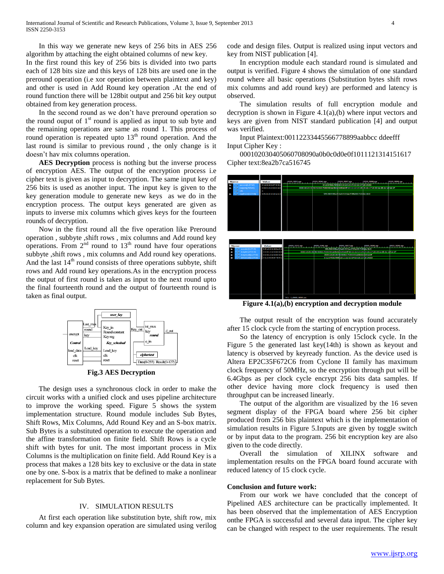In this way we generate new keys of 256 bits in AES 256 algorithm by attaching the eight obtained columns of new key. In the first round this key of 256 bits is divided into two parts each of 128 bits size and this keys of 128 bits are used one in the preround operation (i.e xor operation between plaintext and key) and other is used in Add Round key operation .At the end of round function there will be 128bit output and 256 bit key output obtained from key generation process.

 In the second round as we don't have preround operation so the round ouput of  $1<sup>st</sup>$  round is applied as input to sub byte and the remaining operations are same as round 1. This process of round operation is repeated upto 13<sup>th</sup> round operation. And the last round is similar to previous round , the only change is it doesn't hav mix columns operation.

 **AES Decryption** process is nothing but the inverse process of encryption AES. The output of the encryption process i.e cipher text is given as input to decryption. The same input key of 256 bits is used as another input. The input key is given to the key generation module to generate new keys as we do in the encryption process. The output keys generated are given as inputs to inverse mix columns which gives keys for the fourteen rounds of decryption.

 Now in the first round all the five operation like Preround operation , subbyte ,shift rows , mix columns and Add round key operations. From  $2<sup>nd</sup>$  round to  $13<sup>th</sup>$  round have four operations subbyte ,shift rows , mix columns and Add round key operations. And the last  $14<sup>th</sup>$  round consists of three operations subbyte, shift rows and Add round key operations.As in the encryption process the output of first round is taken as input to the next round upto the final fourteenth round and the output of fourteenth round is taken as final output.



**Fig.3 AES Decryption**

 The design uses a synchronous clock in order to make the circuit works with a unified clock and uses pipeline architecture to improve the working speed. Figure 5 shows the system implementation structure. Round module includes Sub Bytes, Shift Rows, Mix Columns, Add Round Key and an S-box matrix. Sub Bytes is a substituted operation to execute the operation and the affine transformation on finite field. Shift Rows is a cycle shift with bytes for unit. The most important process in Mix Columns is the multiplication on finite field. Add Round Key is a process that makes a 128 bits key to exclusive or the data in state one by one. S-box is a matrix that be defined to make a nonlinear replacement for Sub Bytes.

#### IV. SIMULATION RESULTS

 At first each operation like substitution byte, shift row, mix column and key expansion operation are simulated using verilog code and design files. Output is realized using input vectors and key from NIST publication [4].

 In encryption module each standard round is simulated and output is verified. Figure 4 shows the simulation of one standard round where all basic operations (Substitution bytes shift rows mix columns and add round key) are performed and latency is observed.

 The simulation results of full encryption module and decryption is shown in Figure 4.1(a),(b) where input vectors and keys are given from NIST standard publication [4] and output was verified.

 Input Plaintext:00112233445566778899aabbcc ddeefff Input Cipher Key :

 000102030405060708090a0b0c0d0e0f1011121314151617 Cipher text:8ea2b7ca516745



**Figure 4.1(a),(b) encryption and decryption module**

 The output result of the encryption was found accurately after 15 clock cycle from the starting of encryption process.

 So the latency of encryption is only 15clock cycle. In the Figure 5 the generated last key(14th) is shown as keyout and latency is observed by keyready function. As the device used is Altera EP2C35F672C6 from Cyclone II family has maximum clock frequency of 50MHz, so the encryption through put will be 6.4Gbps as per clock cycle encrypt 256 bits data samples. If other device having more clock frequency is used then throughput can be increased linearly.

 The output of the algorithm are visualized by the 16 seven segment display of the FPGA board where 256 bit cipher produced from 256 bits plaintext which is the implementation of simulation results in Figure 5.Inputs are given by toggle switch or by input data to the program. 256 bit encryption key are also given to the code directly.

 Overall the simulation of XILINX software and implementation results on the FPGA board found accurate with reduced latency of 15 clock cycle.

#### **Conclusion and future work:**

 From our work we have concluded that the concept of Pipelined AES architecture can be practically implemented. It has been observed that the implementation of AES Encryption onthe FPGA is successful and several data input. The cipher key can be changed with respect to the user requirements. The result